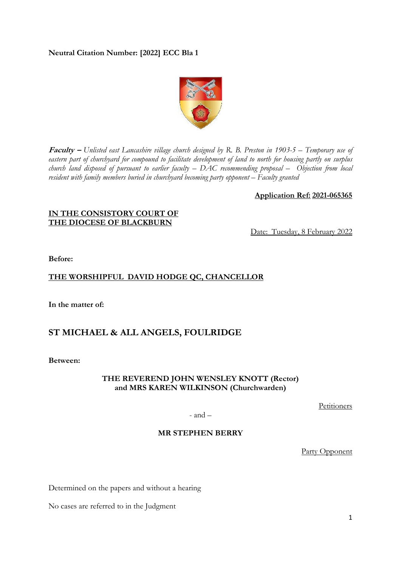## **Neutral Citation Number: [2022] ECC Bla 1**



**Faculty –** *Unlisted east Lancashire village church designed by R. B. Preston in 1903-5 – Temporary use of eastern part of churchyard for compound to facilitate development of land to north for housing partly on surplus church land disposed of pursuant to earlier faculty – DAC recommending proposal – Objection from local resident with family members buried in churchyard becoming party opponent – Faculty granted* 

#### **Application Ref: 2021-065365**

#### **IN THE CONSISTORY COURT OF THE DIOCESE OF BLACKBURN**

Date: Tuesday, 8 February 2022

**Before:** 

## **THE WORSHIPFUL DAVID HODGE QC, CHANCELLOR**

**In the matter of:** 

# **ST MICHAEL & ALL ANGELS, FOULRIDGE**

**Between:** 

## **THE REVEREND JOHN WENSLEY KNOTT (Rector) and MRS KAREN WILKINSON (Churchwarden)**

Petitioners

- and –

### **MR STEPHEN BERRY**

Party Opponent

Determined on the papers and without a hearing

No cases are referred to in the Judgment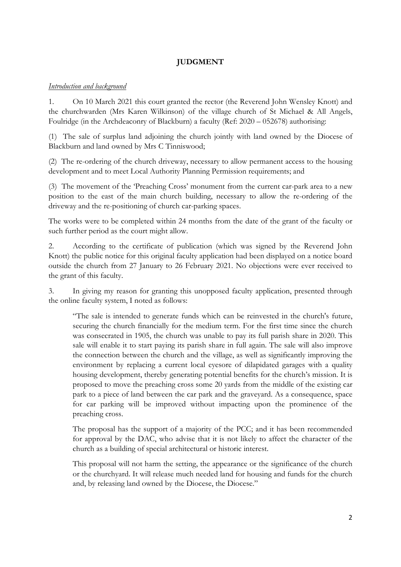# **JUDGMENT**

## *Introduction and background*

1. On 10 March 2021 this court granted the rector (the Reverend John Wensley Knott) and the churchwarden (Mrs Karen Wilkinson) of the village church of St Michael & All Angels, Foulridge (in the Archdeaconry of Blackburn) a faculty (Ref: 2020 – 052678) authorising:

(1) The sale of surplus land adjoining the church jointly with land owned by the Diocese of Blackburn and land owned by Mrs C Tinniswood;

(2) The re-ordering of the church driveway, necessary to allow permanent access to the housing development and to meet Local Authority Planning Permission requirements; and

(3) The movement of the 'Preaching Cross' monument from the current car-park area to a new position to the east of the main church building, necessary to allow the re-ordering of the driveway and the re-positioning of church car-parking spaces.

The works were to be completed within 24 months from the date of the grant of the faculty or such further period as the court might allow.

2. According to the certificate of publication (which was signed by the Reverend John Knott) the public notice for this original faculty application had been displayed on a notice board outside the church from 27 January to 26 February 2021. No objections were ever received to the grant of this faculty.

3. In giving my reason for granting this unopposed faculty application, presented through the online faculty system, I noted as follows:

"The sale is intended to generate funds which can be reinvested in the church's future, securing the church financially for the medium term. For the first time since the church was consecrated in 1905, the church was unable to pay its full parish share in 2020. This sale will enable it to start paying its parish share in full again. The sale will also improve the connection between the church and the village, as well as significantly improving the environment by replacing a current local eyesore of dilapidated garages with a quality housing development, thereby generating potential benefits for the church's mission. It is proposed to move the preaching cross some 20 yards from the middle of the existing car park to a piece of land between the car park and the graveyard. As a consequence, space for car parking will be improved without impacting upon the prominence of the preaching cross.

The proposal has the support of a majority of the PCC; and it has been recommended for approval by the DAC, who advise that it is not likely to affect the character of the church as a building of special architectural or historic interest.

This proposal will not harm the setting, the appearance or the significance of the church or the churchyard. It will release much needed land for housing and funds for the church and, by releasing land owned by the Diocese, the Diocese."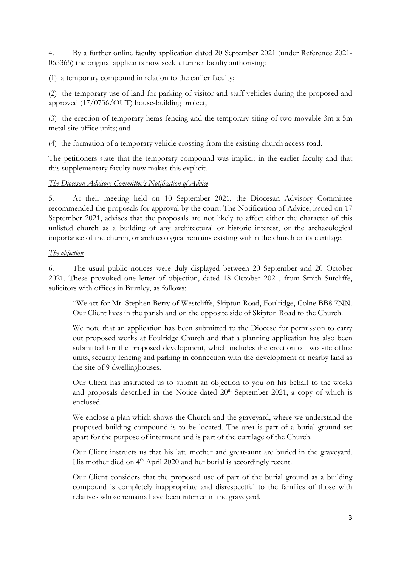4. By a further online faculty application dated 20 September 2021 (under Reference 2021- 065365) the original applicants now seek a further faculty authorising:

(1) a temporary compound in relation to the earlier faculty;

(2) the temporary use of land for parking of visitor and staff vehicles during the proposed and approved (17/0736/OUT) house-building project;

(3) the erection of temporary heras fencing and the temporary siting of two movable 3m x 5m metal site office units; and

(4) the formation of a temporary vehicle crossing from the existing church access road.

The petitioners state that the temporary compound was implicit in the earlier faculty and that this supplementary faculty now makes this explicit.

*The Diocesan Advisory Committee's Notification of Advice* 

5. At their meeting held on 10 September 2021, the Diocesan Advisory Committee recommended the proposals for approval by the court. The Notification of Advice, issued on 17 September 2021, advises that the proposals are not likely to affect either the character of this unlisted church as a building of any architectural or historic interest, or the archaeological importance of the church, or archaeological remains existing within the church or its curtilage.

## *The objection*

6. The usual public notices were duly displayed between 20 September and 20 October 2021. These provoked one letter of objection, dated 18 October 2021, from Smith Sutcliffe, solicitors with offices in Burnley, as follows:

"We act for Mr. Stephen Berry of Westcliffe, Skipton Road, Foulridge, Colne BB8 7NN. Our Client lives in the parish and on the opposite side of Skipton Road to the Church.

We note that an application has been submitted to the Diocese for permission to carry out proposed works at Foulridge Church and that a planning application has also been submitted for the proposed development, which includes the erection of two site office units, security fencing and parking in connection with the development of nearby land as the site of 9 dwellinghouses.

Our Client has instructed us to submit an objection to you on his behalf to the works and proposals described in the Notice dated  $20<sup>th</sup>$  September 2021, a copy of which is enclosed.

We enclose a plan which shows the Church and the graveyard, where we understand the proposed building compound is to be located. The area is part of a burial ground set apart for the purpose of interment and is part of the curtilage of the Church.

Our Client instructs us that his late mother and great-aunt are buried in the graveyard. His mother died on 4<sup>th</sup> April 2020 and her burial is accordingly recent.

Our Client considers that the proposed use of part of the burial ground as a building compound is completely inappropriate and disrespectful to the families of those with relatives whose remains have been interred in the graveyard.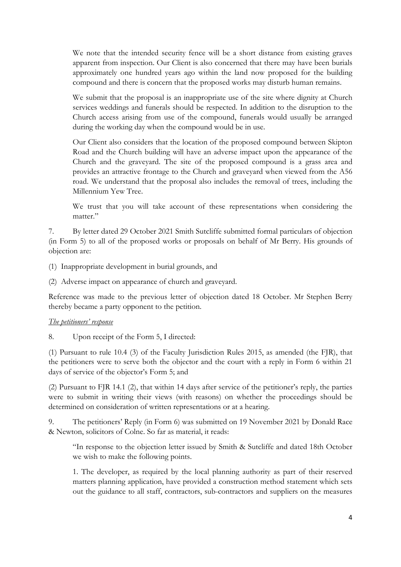We note that the intended security fence will be a short distance from existing graves apparent from inspection. Our Client is also concerned that there may have been burials approximately one hundred years ago within the land now proposed for the building compound and there is concern that the proposed works may disturb human remains.

We submit that the proposal is an inappropriate use of the site where dignity at Church services weddings and funerals should be respected. In addition to the disruption to the Church access arising from use of the compound, funerals would usually be arranged during the working day when the compound would be in use.

Our Client also considers that the location of the proposed compound between Skipton Road and the Church building will have an adverse impact upon the appearance of the Church and the graveyard. The site of the proposed compound is a grass area and provides an attractive frontage to the Church and graveyard when viewed from the A56 road. We understand that the proposal also includes the removal of trees, including the Millennium Yew Tree.

We trust that you will take account of these representations when considering the matter."

7. By letter dated 29 October 2021 Smith Sutcliffe submitted formal particulars of objection (in Form 5) to all of the proposed works or proposals on behalf of Mr Berry. His grounds of objection are:

(1) Inappropriate development in burial grounds, and

(2) Adverse impact on appearance of church and graveyard.

Reference was made to the previous letter of objection dated 18 October. Mr Stephen Berry thereby became a party opponent to the petition.

### *The petitioners' response*

8. Upon receipt of the Form 5, I directed:

(1) Pursuant to rule 10.4 (3) of the Faculty Jurisdiction Rules 2015, as amended (the FJR), that the petitioners were to serve both the objector and the court with a reply in Form 6 within 21 days of service of the objector's Form 5; and

(2) Pursuant to FJR 14.1 (2), that within 14 days after service of the petitioner's reply, the parties were to submit in writing their views (with reasons) on whether the proceedings should be determined on consideration of written representations or at a hearing.

9. The petitioners' Reply (in Form 6) was submitted on 19 November 2021 by Donald Race & Newton, solicitors of Colne. So far as material, it reads:

"In response to the objection letter issued by Smith & Sutcliffe and dated 18th October we wish to make the following points.

1. The developer, as required by the local planning authority as part of their reserved matters planning application, have provided a construction method statement which sets out the guidance to all staff, contractors, sub-contractors and suppliers on the measures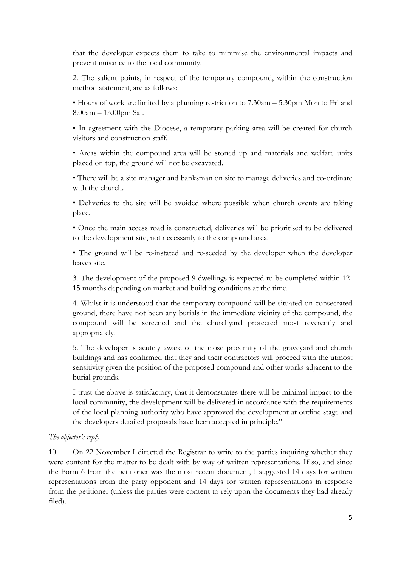that the developer expects them to take to minimise the environmental impacts and prevent nuisance to the local community.

2. The salient points, in respect of the temporary compound, within the construction method statement, are as follows:

• Hours of work are limited by a planning restriction to 7.30am – 5.30pm Mon to Fri and 8.00am – 13.00pm Sat.

• In agreement with the Diocese, a temporary parking area will be created for church visitors and construction staff.

• Areas within the compound area will be stoned up and materials and welfare units placed on top, the ground will not be excavated.

• There will be a site manager and banksman on site to manage deliveries and co-ordinate with the church.

• Deliveries to the site will be avoided where possible when church events are taking place.

• Once the main access road is constructed, deliveries will be prioritised to be delivered to the development site, not necessarily to the compound area.

• The ground will be re-instated and re-seeded by the developer when the developer leaves site.

3. The development of the proposed 9 dwellings is expected to be completed within 12- 15 months depending on market and building conditions at the time.

4. Whilst it is understood that the temporary compound will be situated on consecrated ground, there have not been any burials in the immediate vicinity of the compound, the compound will be screened and the churchyard protected most reverently and appropriately.

5. The developer is acutely aware of the close proximity of the graveyard and church buildings and has confirmed that they and their contractors will proceed with the utmost sensitivity given the position of the proposed compound and other works adjacent to the burial grounds.

I trust the above is satisfactory, that it demonstrates there will be minimal impact to the local community, the development will be delivered in accordance with the requirements of the local planning authority who have approved the development at outline stage and the developers detailed proposals have been accepted in principle."

### *The objector's reply*

10. On 22 November I directed the Registrar to write to the parties inquiring whether they were content for the matter to be dealt with by way of written representations. If so, and since the Form 6 from the petitioner was the most recent document, I suggested 14 days for written representations from the party opponent and 14 days for written representations in response from the petitioner (unless the parties were content to rely upon the documents they had already filed).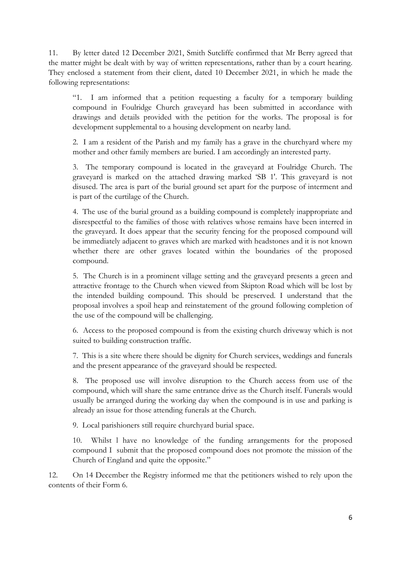11. By letter dated 12 December 2021, Smith Sutcliffe confirmed that Mr Berry agreed that the matter might be dealt with by way of written representations, rather than by a court hearing. They enclosed a statement from their client, dated 10 December 2021, in which he made the following representations:

"1. I am informed that a petition requesting a faculty for a temporary building compound in Foulridge Church graveyard has been submitted in accordance with drawings and details provided with the petition for the works. The proposal is for development supplemental to a housing development on nearby land.

2. I am a resident of the Parish and my family has a grave in the churchyard where my mother and other family members are buried. I am accordingly an interested party.

3. The temporary compound is located in the graveyard at Foulridge Church. The graveyard is marked on the attached drawing marked 'SB 1'. This graveyard is not disused. The area is part of the burial ground set apart for the purpose of interment and is part of the curtilage of the Church.

4. The use of the burial ground as a building compound is completely inappropriate and disrespectful to the families of those with relatives whose remains have been interred in the graveyard. It does appear that the security fencing for the proposed compound will be immediately adjacent to graves which are marked with headstones and it is not known whether there are other graves located within the boundaries of the proposed compound.

5. The Church is in a prominent village setting and the graveyard presents a green and attractive frontage to the Church when viewed from Skipton Road which will be lost by the intended building compound. This should be preserved. I understand that the proposal involves a spoil heap and reinstatement of the ground following completion of the use of the compound will be challenging.

6. Access to the proposed compound is from the existing church driveway which is not suited to building construction traffic.

7. This is a site where there should be dignity for Church services, weddings and funerals and the present appearance of the graveyard should be respected.

8. The proposed use will involve disruption to the Church access from use of the compound, which will share the same entrance drive as the Church itself. Funerals would usually be arranged during the working day when the compound is in use and parking is already an issue for those attending funerals at the Church.

9. Local parishioners still require churchyard burial space.

10. Whilst l have no knowledge of the funding arrangements for the proposed compound I submit that the proposed compound does not promote the mission of the Church of England and quite the opposite."

12. On 14 December the Registry informed me that the petitioners wished to rely upon the contents of their Form 6.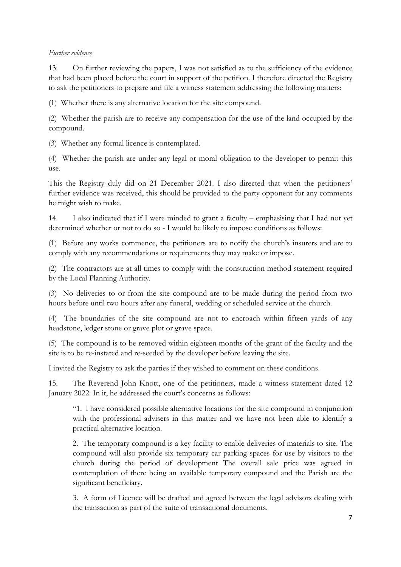## *Further evidence*

13. On further reviewing the papers, I was not satisfied as to the sufficiency of the evidence that had been placed before the court in support of the petition. I therefore directed the Registry to ask the petitioners to prepare and file a witness statement addressing the following matters:

(1) Whether there is any alternative location for the site compound.

(2) Whether the parish are to receive any compensation for the use of the land occupied by the compound.

(3) Whether any formal licence is contemplated.

(4) Whether the parish are under any legal or moral obligation to the developer to permit this use.

This the Registry duly did on 21 December 2021. I also directed that when the petitioners' further evidence was received, this should be provided to the party opponent for any comments he might wish to make.

14. I also indicated that if I were minded to grant a faculty – emphasising that I had not yet determined whether or not to do so - I would be likely to impose conditions as follows:

(1) Before any works commence, the petitioners are to notify the church's insurers and are to comply with any recommendations or requirements they may make or impose.

(2) The contractors are at all times to comply with the construction method statement required by the Local Planning Authority.

(3) No deliveries to or from the site compound are to be made during the period from two hours before until two hours after any funeral, wedding or scheduled service at the church.

(4) The boundaries of the site compound are not to encroach within fifteen yards of any headstone, ledger stone or grave plot or grave space.

(5) The compound is to be removed within eighteen months of the grant of the faculty and the site is to be re-instated and re-seeded by the developer before leaving the site.

I invited the Registry to ask the parties if they wished to comment on these conditions.

15. The Reverend John Knott, one of the petitioners, made a witness statement dated 12 January 2022. In it, he addressed the court's concerns as follows:

"1. l have considered possible alternative locations for the site compound in conjunction with the professional advisers in this matter and we have not been able to identify a practical alternative location.

2. The temporary compound is a key facility to enable deliveries of materials to site. The compound will also provide six temporary car parking spaces for use by visitors to the church during the period of development The overall sale price was agreed in contemplation of there being an available temporary compound and the Parish are the significant beneficiary.

3. A form of Licence will be drafted and agreed between the legal advisors dealing with the transaction as part of the suite of transactional documents.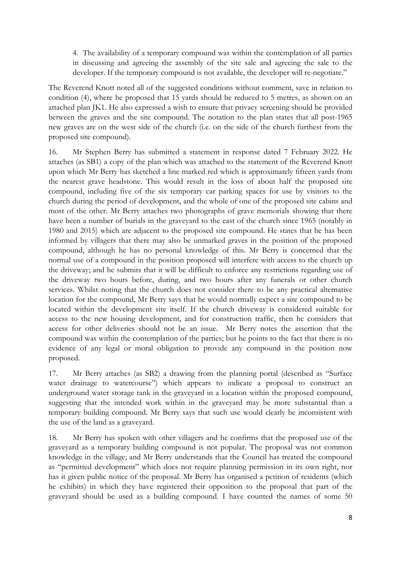4. The availability of a temporary compound was within the contemplation of all parties in discussing and agreeing the assembly of the site sale and agreeing the sale to the developer. If the temporary compound is not available, the developer will re-negotiate."

The Reverend Knott noted all of the suggested conditions without comment, save in relation to condition (4), where he proposed that 15 yards should be reduced to 5 metres, as shown on an attached plan JK1. He also expressed a wish to ensure that privacy screening should be provided between the graves and the site compound. The notation to the plan states that all post-1965 new graves are on the west side of the church (i.e. on the side of the church furthest from the proposed site compound).

16. Mr Stephen Berry has submitted a statement in response dated 7 February 2022. He attaches (as SB1) a copy of the plan which was attached to the statement of the Reverend Knott upon which Mr Berry has sketched a line marked red which is approximately fifteen yards from the nearest grave headstone. This would result in the loss of about half the proposed site compound, including five of the six temporary car parking spaces for use by visitors to the church during the period of development, and the whole of one of the proposed site cabins and most of the other. Mr Berry attaches two photographs of grave memorials showing that there have been a number of burials in the graveyard to the east of the church since 1965 (notably in 1980 and 2015) which are adjacent to the proposed site compound. He states that he has been informed by villagers that there may also be unmarked graves in the position of the proposed compound, although he has no personal knowledge of this. Mr Berry is concerned that the normal use of a compound in the position proposed will interfere with access to the church up the driveway; and he submits that it will be difficult to enforce any restrictions regarding use of the driveway two hours before, during, and two hours after any funerals or other church services. Whilst noting that the church does not consider there to be any practical alternative location for the compound, Mr Berry says that he would normally expect a site compound to be located within the development site itself. If the church driveway is considered suitable for access to the new housing development, and for construction traffic, then he considers that access for other deliveries should not be an issue. Mr Berry notes the assertion that the compound was within the contemplation of the parties; but he points to the fact that there is no evidence of any legal or moral obligation to provide any compound in the position now proposed.

17. Mr Berry attaches (as SB2) a drawing from the planning portal (described as "Surface water drainage to watercourse") which appears to indicate a proposal to construct an underground water storage tank in the graveyard in a location within the proposed compound, suggesting that the intended work within in the graveyard may be more substantial than a temporary building compound. Mr Berry says that such use would clearly be inconsistent with the use of the land as a graveyard.

18. Mr Berry has spoken with other villagers and he confirms that the proposed use of the graveyard as a temporary building compound is not popular. The proposal was not common knowledge in the village; and Mr Berry understands that the Council has treated the compound as "permitted development" which does not require planning permission in its own right, nor has it given public notice of the proposal. Mr Berry has organised a petition of residents (which he exhibits) in which they have registered their opposition to the proposal that part of the graveyard should be used as a building compound. I have counted the names of some 50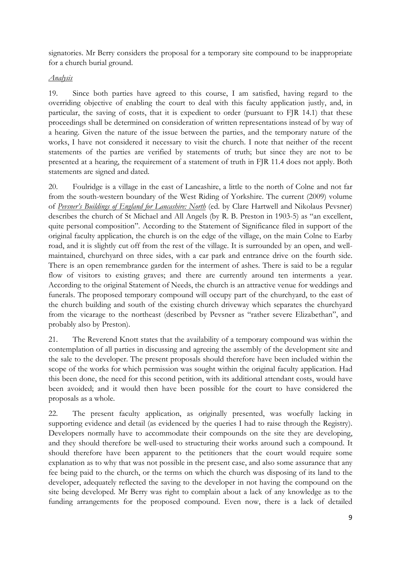signatories. Mr Berry considers the proposal for a temporary site compound to be inappropriate for a church burial ground.

## *Analysis*

19. Since both parties have agreed to this course, I am satisfied, having regard to the overriding objective of enabling the court to deal with this faculty application justly, and, in particular, the saving of costs, that it is expedient to order (pursuant to FJR 14.1) that these proceedings shall be determined on consideration of written representations instead of by way of a hearing. Given the nature of the issue between the parties, and the temporary nature of the works, I have not considered it necessary to visit the church. I note that neither of the recent statements of the parties are verified by statements of truth; but since they are not to be presented at a hearing, the requirement of a statement of truth in FJR 11.4 does not apply. Both statements are signed and dated.

20. Foulridge is a village in the east of Lancashire, a little to the north of Colne and not far from the south-western boundary of the West Riding of Yorkshire. The current (2009) volume of *Pevsner's Buildings of England for Lancashire: North* (ed. by Clare Hartwell and Nikolaus Pevsner) describes the church of St Michael and All Angels (by R. B. Preston in 1903-5) as "an excellent, quite personal composition". According to the Statement of Significance filed in support of the original faculty application, the church is on the edge of the village, on the main Colne to Earby road, and it is slightly cut off from the rest of the village. It is surrounded by an open, and wellmaintained, churchyard on three sides, with a car park and entrance drive on the fourth side. There is an open remembrance garden for the interment of ashes. There is said to be a regular flow of visitors to existing graves; and there are currently around ten interments a year. According to the original Statement of Needs, the church is an attractive venue for weddings and funerals. The proposed temporary compound will occupy part of the churchyard, to the east of the church building and south of the existing church driveway which separates the churchyard from the vicarage to the northeast (described by Pevsner as "rather severe Elizabethan", and probably also by Preston).

21. The Reverend Knott states that the availability of a temporary compound was within the contemplation of all parties in discussing and agreeing the assembly of the development site and the sale to the developer. The present proposals should therefore have been included within the scope of the works for which permission was sought within the original faculty application. Had this been done, the need for this second petition, with its additional attendant costs, would have been avoided; and it would then have been possible for the court to have considered the proposals as a whole.

22. The present faculty application, as originally presented, was woefully lacking in supporting evidence and detail (as evidenced by the queries I had to raise through the Registry). Developers normally have to accommodate their compounds on the site they are developing, and they should therefore be well-used to structuring their works around such a compound. It should therefore have been apparent to the petitioners that the court would require some explanation as to why that was not possible in the present case, and also some assurance that any fee being paid to the church, or the terms on which the church was disposing of its land to the developer, adequately reflected the saving to the developer in not having the compound on the site being developed. Mr Berry was right to complain about a lack of any knowledge as to the funding arrangements for the proposed compound. Even now, there is a lack of detailed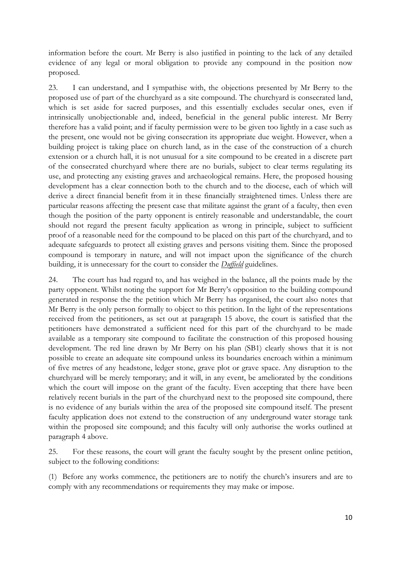information before the court. Mr Berry is also justified in pointing to the lack of any detailed evidence of any legal or moral obligation to provide any compound in the position now proposed.

23. I can understand, and I sympathise with, the objections presented by Mr Berry to the proposed use of part of the churchyard as a site compound. The churchyard is consecrated land, which is set aside for sacred purposes, and this essentially excludes secular ones, even if intrinsically unobjectionable and, indeed, beneficial in the general public interest. Mr Berry therefore has a valid point; and if faculty permission were to be given too lightly in a case such as the present, one would not be giving consecration its appropriate due weight. However, when a building project is taking place on church land, as in the case of the construction of a church extension or a church hall, it is not unusual for a site compound to be created in a discrete part of the consecrated churchyard where there are no burials, subject to clear terms regulating its use, and protecting any existing graves and archaeological remains. Here, the proposed housing development has a clear connection both to the church and to the diocese, each of which will derive a direct financial benefit from it in these financially straightened times. Unless there are particular reasons affecting the present case that militate against the grant of a faculty, then even though the position of the party opponent is entirely reasonable and understandable, the court should not regard the present faculty application as wrong in principle, subject to sufficient proof of a reasonable need for the compound to be placed on this part of the churchyard, and to adequate safeguards to protect all existing graves and persons visiting them. Since the proposed compound is temporary in nature, and will not impact upon the significance of the church building, it is unnecessary for the court to consider the *Duffield* guidelines.

24. The court has had regard to, and has weighed in the balance, all the points made by the party opponent. Whilst noting the support for Mr Berry's opposition to the building compound generated in response the the petition which Mr Berry has organised, the court also notes that Mr Berry is the only person formally to object to this petition. In the light of the representations received from the petitioners, as set out at paragraph 15 above, the court is satisfied that the petitioners have demonstrated a sufficient need for this part of the churchyard to be made available as a temporary site compound to facilitate the construction of this proposed housing development. The red line drawn by Mr Berry on his plan (SB1) clearly shows that it is not possible to create an adequate site compound unless its boundaries encroach within a minimum of five metres of any headstone, ledger stone, grave plot or grave space. Any disruption to the churchyard will be merely temporary; and it will, in any event, be ameliorated by the conditions which the court will impose on the grant of the faculty. Even accepting that there have been relatively recent burials in the part of the churchyard next to the proposed site compound, there is no evidence of any burials within the area of the proposed site compound itself. The present faculty application does not extend to the construction of any underground water storage tank within the proposed site compound; and this faculty will only authorise the works outlined at paragraph 4 above.

25. For these reasons, the court will grant the faculty sought by the present online petition, subject to the following conditions:

(1) Before any works commence, the petitioners are to notify the church's insurers and are to comply with any recommendations or requirements they may make or impose.